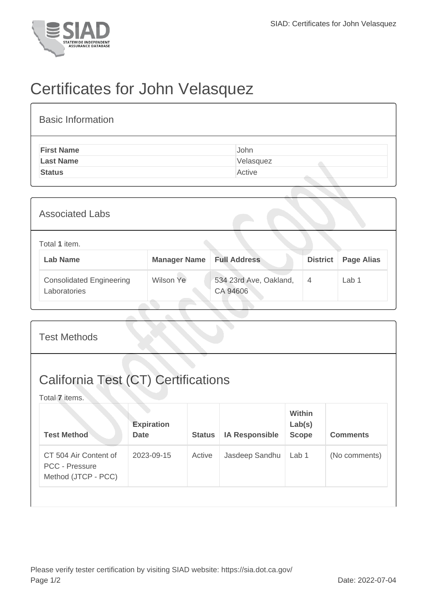

## Certificates for John Velasquez

| <b>Basic Information</b> |           |
|--------------------------|-----------|
| <b>First Name</b>        | John      |
| <b>Last Name</b>         | Velasquez |
| <b>Status</b>            | Active    |
|                          |           |

| <b>Associated Labs</b>                          |                     |                                    |                 |                   |  |
|-------------------------------------------------|---------------------|------------------------------------|-----------------|-------------------|--|
| Total 1 item.<br><b>Lab Name</b>                | <b>Manager Name</b> | <b>Full Address</b>                | <b>District</b> | <b>Page Alias</b> |  |
| <b>Consolidated Engineering</b><br>Laboratories | <b>Wilson Ye</b>    | 534 23rd Ave, Oakland,<br>CA 94606 | 4               | Lab 1             |  |

| <b>Test Methods</b>                                                   |                                  |               |                       |                                         |                 |  |  |
|-----------------------------------------------------------------------|----------------------------------|---------------|-----------------------|-----------------------------------------|-----------------|--|--|
| <b>California Test (CT) Certifications</b><br>Total 7 items.          |                                  |               |                       |                                         |                 |  |  |
| <b>Test Method</b>                                                    | <b>Expiration</b><br><b>Date</b> | <b>Status</b> | <b>IA Responsible</b> | <b>Within</b><br>Lab(s)<br><b>Scope</b> | <b>Comments</b> |  |  |
| CT 504 Air Content of<br><b>PCC - Pressure</b><br>Method (JTCP - PCC) | 2023-09-15                       | Active        | Jasdeep Sandhu        | Lab <sub>1</sub>                        | (No comments)   |  |  |